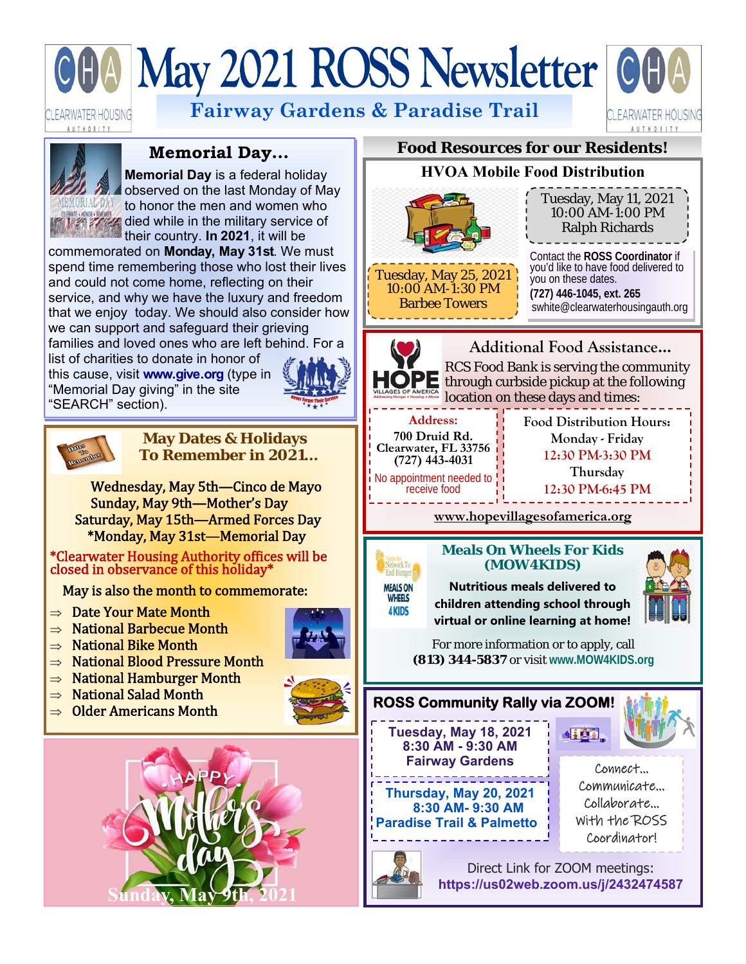# May 2021 ROSS Newsletter OO

LEARWATER HOUSING **AUTHORITY** 

**Fairway Gardens & Paradise Trail** 





# **Memorial Day...**

**Memorial Day** is a federal holiday observed on the last Monday of May to honor the men and women who **died while in the military service of** their country. **In 2021**, it will be

commemorated on **Monday, May 31st**. We must spend time remembering those who lost their lives and could not come home, reflecting on their service, and why we have the luxury and freedom that we enjoy today. We should also consider how we can support and safeguard their grieving families and loved ones who are left behind. For a

list of charities to donate in honor of this cause, visit **www.give.org** (type in "Memorial Day giving" in the site "SEARCH" section).





#### **May Dates & Holidays To Remember in 2021…**

Wednesday, May 5th—Cinco de Mayo Sunday, May 9th—Mother's Day Saturday, May 15th—Armed Forces Day \*Monday, May 31st—Memorial Day

\*Clearwater Housing Authority offices will be closed in observance of this holiday\*

May is also the month to commemorate:

- $\Rightarrow$  Date Your Mate Month
- $\Rightarrow$  National Barbecue Month
- $\Rightarrow$  National Bike Month
- $\Rightarrow$  National Blood Pressure Month
- $\Rightarrow$  National Hamburger Month
- $\Rightarrow$  National Salad Month
- $\Rightarrow$  Older Americans Month



# **Food Resources for our Residents!**

# **HVOA Mobile Food Distribution**



10:00 AM-1:30 PM Barbee Towers

10:00 AM-1:00 PM Ralph Richards Contact the **ROSS Coordinator** if you'd like to have food delivered to you on these dates.

Tuesday, May 11, 2021

**(727) 446-1045, ext. 265**  swhite@clearwaterhousingauth.org



**MEALS ON WHEELS 4KIDS** 

**Additional Food Assistance...**  RCS Food Bank is serving the community PE through curbside pickup at the following location on these days and times:

**Address: 700 Druid Rd. Clearwater, FL 33756 (727) 443-4031**  No appointment needed to receive food

**Food Distribution Hours: Monday - Friday 12:30 PM-3:30 PM Thursday** 

**12:30 PM-6:45 PM** 

**www.hopevillagesofamerica.org**

## **Meals On Wheels For Kids (MOW4KIDS)**

**Nutritious meals delivered to children attending school through virtual or online learning at home!** 



For more information or to apply, call **(813) 344-5837** or visit **www.MOW4KIDS.org** 





Direct Link for ZOOM meetings: **https://us02web.zoom.us/j/2432474587**